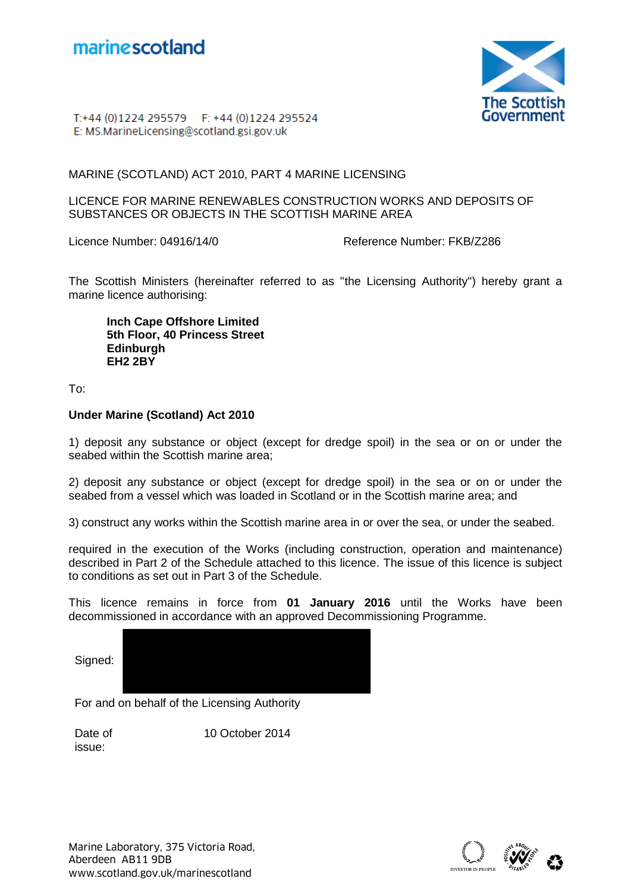



T:+44 (0)1224 295579 F: +44 (0)1224 295524 E: MS.MarineLicensing@scotland.gsi.gov.uk

MARINE (SCOTLAND) ACT 2010, PART 4 MARINE LICENSING

LICENCE FOR MARINE RENEWABLES CONSTRUCTION WORKS AND DEPOSITS OF SUBSTANCES OR OBJECTS IN THE SCOTTISH MARINE AREA

Licence Number: 04916/14/0 Reference Number: FKB/Z286

The Scottish Ministers (hereinafter referred to as "the Licensing Authority") hereby grant a marine licence authorising:

**Inch Cape Offshore Limited 5th Floor, 40 Princess Street Edinburgh EH2 2BY** 

To:

## **Under Marine (Scotland) Act 2010**

1) deposit any substance or object (except for dredge spoil) in the sea or on or under the seabed within the Scottish marine area;

2) deposit any substance or object (except for dredge spoil) in the sea or on or under the seabed from a vessel which was loaded in Scotland or in the Scottish marine area; and

3) construct any works within the Scottish marine area in or over the sea, or under the seabed.

required in the execution of the Works (including construction, operation and maintenance) described in Part 2 of the Schedule attached to this licence. The issue of this licence is subject to conditions as set out in Part 3 of the Schedule.

This licence remains in force from **01 January 2016** until the Works have been decommissioned in accordance with an approved Decommissioning Programme.

Signed:

For and on behalf of the Licensing Authority

Date of issue: 10 October 2014

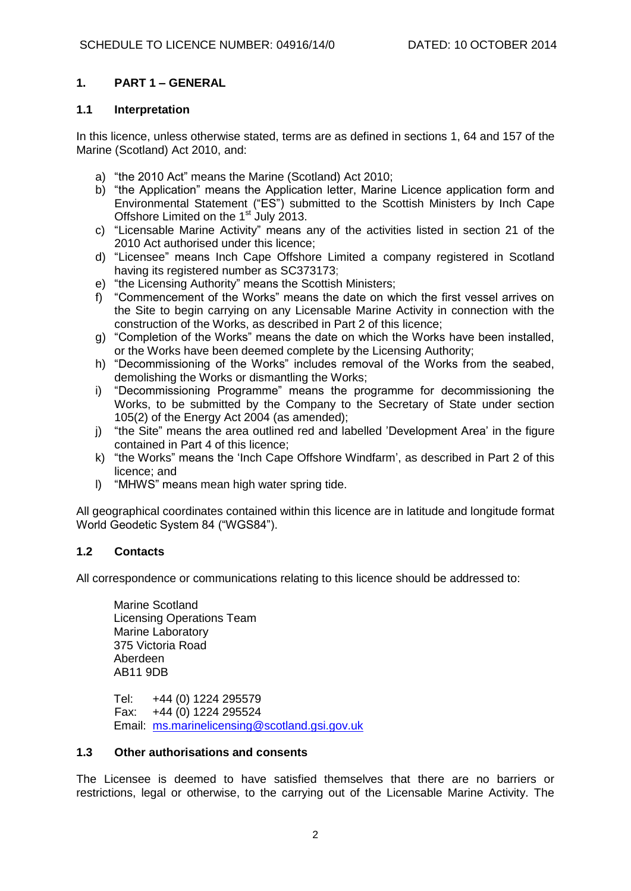### **1. PART 1 – GENERAL**

#### **1.1 Interpretation**

In this licence, unless otherwise stated, terms are as defined in sections 1, 64 and 157 of the Marine (Scotland) Act 2010, and:

- a) "the 2010 Act" means the Marine (Scotland) Act 2010;
- b) "the Application" means the Application letter, Marine Licence application form and Environmental Statement ("ES") submitted to the Scottish Ministers by Inch Cape Offshore Limited on the 1<sup>st</sup> July 2013.
- c) "Licensable Marine Activity" means any of the activities listed in section 21 of the 2010 Act authorised under this licence;
- d) "Licensee" means Inch Cape Offshore Limited a company registered in Scotland having its registered number as SC373173;
- 
- e) "the Licensing Authority" means the Scottish Ministers;<br>f) "Commencement of the Works" means the date on wl "Commencement of the Works" means the date on which the first vessel arrives on the Site to begin carrying on any Licensable Marine Activity in connection with the construction of the Works, as described in Part 2 of this licence;
- g) "Completion of the Works" means the date on which the Works have been installed, or the Works have been deemed complete by the Licensing Authority;
- h) "Decommissioning of the Works" includes removal of the Works from the seabed, demolishing the Works or dismantling the Works;
- i) "Decommissioning Programme" means the programme for decommissioning the Works, to be submitted by the Company to the Secretary of State under section 105(2) of the Energy Act 2004 (as amended);
- j) "the Site" means the area outlined red and labelled 'Development Area' in the figure contained in Part 4 of this licence;
- k) "the Works" means the 'Inch Cape Offshore Windfarm', as described in Part 2 of this licence; and
- l) "MHWS" means mean high water spring tide.

All geographical coordinates contained within this licence are in latitude and longitude format World Geodetic System 84 ("WGS84").

### **1.2 Contacts**

All correspondence or communications relating to this licence should be addressed to:

Marine Scotland Licensing Operations Team Marine Laboratory 375 Victoria Road Aberdeen AB11 9DB

Tel: +44 (0) 1224 295579 Fax: +44 (0) 1224 295524 Email: [ms.marinelicensing@scotland.gsi.gov.uk](mailto:ms.marinelicensing@scotland.gsi.gov.uk)

### **1.3 Other authorisations and consents**

The Licensee is deemed to have satisfied themselves that there are no barriers or restrictions, legal or otherwise, to the carrying out of the Licensable Marine Activity. The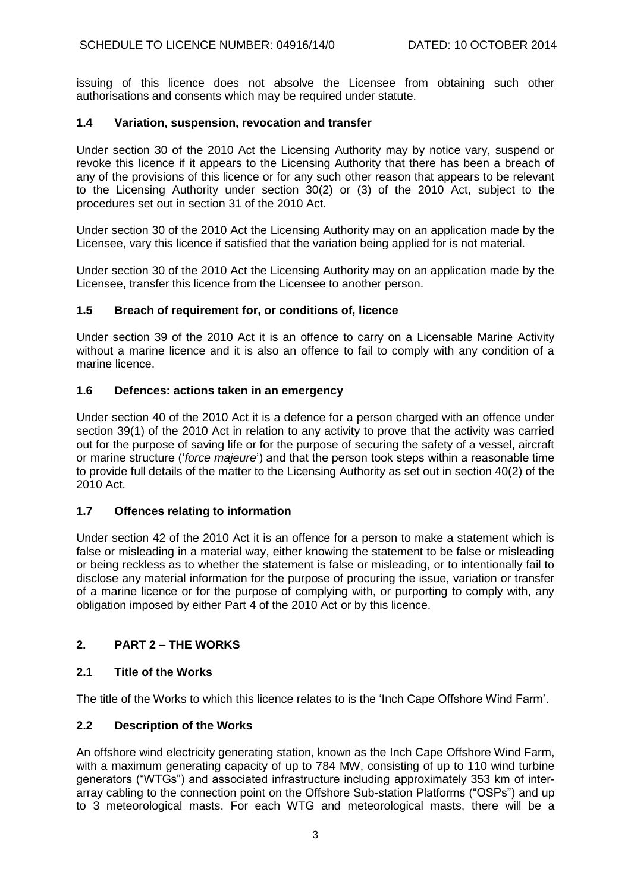issuing of this licence does not absolve the Licensee from obtaining such other authorisations and consents which may be required under statute.

### **1.4 Variation, suspension, revocation and transfer**

Under section 30 of the 2010 Act the Licensing Authority may by notice vary, suspend or revoke this licence if it appears to the Licensing Authority that there has been a breach of any of the provisions of this licence or for any such other reason that appears to be relevant to the Licensing Authority under section 30(2) or (3) of the 2010 Act, subject to the procedures set out in section 31 of the 2010 Act.

Under section 30 of the 2010 Act the Licensing Authority may on an application made by the Licensee, vary this licence if satisfied that the variation being applied for is not material.

Under section 30 of the 2010 Act the Licensing Authority may on an application made by the Licensee, transfer this licence from the Licensee to another person.

### **1.5 Breach of requirement for, or conditions of, licence**

Under section 39 of the 2010 Act it is an offence to carry on a Licensable Marine Activity without a marine licence and it is also an offence to fail to comply with any condition of a marine licence.

### **1.6 Defences: actions taken in an emergency**

Under section 40 of the 2010 Act it is a defence for a person charged with an offence under section 39(1) of the 2010 Act in relation to any activity to prove that the activity was carried out for the purpose of saving life or for the purpose of securing the safety of a vessel, aircraft or marine structure ('*force majeure*') and that the person took steps within a reasonable time to provide full details of the matter to the Licensing Authority as set out in section 40(2) of the 2010 Act.

# **1.7 Offences relating to information**

Under section 42 of the 2010 Act it is an offence for a person to make a statement which is false or misleading in a material way, either knowing the statement to be false or misleading or being reckless as to whether the statement is false or misleading, or to intentionally fail to disclose any material information for the purpose of procuring the issue, variation or transfer of a marine licence or for the purpose of complying with, or purporting to comply with, any obligation imposed by either Part 4 of the 2010 Act or by this licence.

# **2. PART 2 – THE WORKS**

### **2.1 Title of the Works**

The title of the Works to which this licence relates to is the 'Inch Cape Offshore Wind Farm'.

### **2.2 Description of the Works**

An offshore wind electricity generating station, known as the Inch Cape Offshore Wind Farm, with a maximum generating capacity of up to 784 MW, consisting of up to 110 wind turbine generators ("WTGs") and associated infrastructure including approximately 353 km of interarray cabling to the connection point on the Offshore Sub-station Platforms ("OSPs") and up to 3 meteorological masts. For each WTG and meteorological masts, there will be a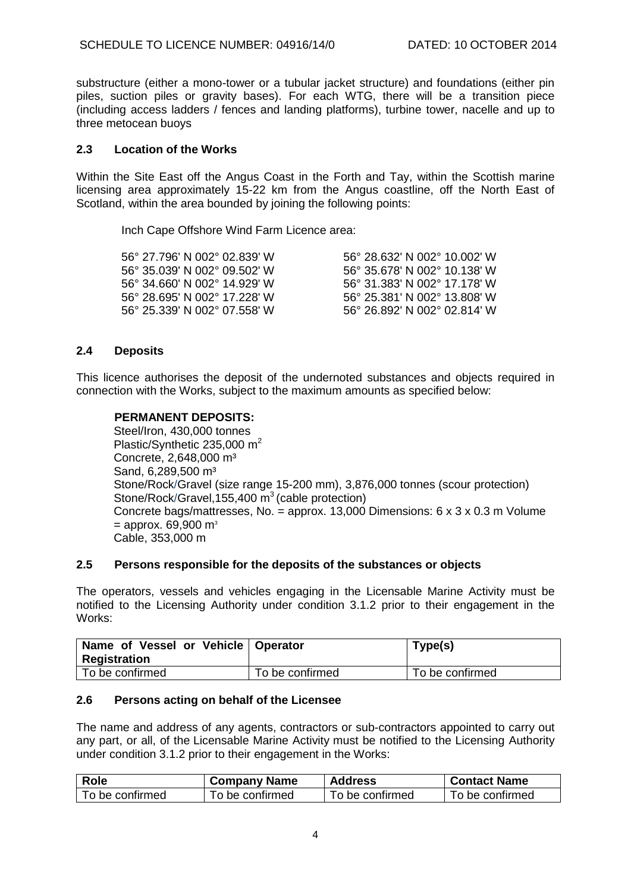substructure (either a mono-tower or a tubular jacket structure) and foundations (either pin piles, suction piles or gravity bases). For each WTG, there will be a transition piece (including access ladders / fences and landing platforms), turbine tower, nacelle and up to three metocean buoys

#### **2.3 Location of the Works**

Within the Site East off the Angus Coast in the Forth and Tay, within the Scottish marine licensing area approximately 15-22 km from the Angus coastline, off the North East of Scotland, within the area bounded by joining the following points:

Inch Cape Offshore Wind Farm Licence area:

| 56° 27.796' N 002° 02.839' W | 56° 28.632′ N 002° 10.002′ W |
|------------------------------|------------------------------|
| 56° 35.039′ N 002° 09.502′ W | 56° 35.678′ N 002° 10.138′ W |
| 56° 34.660' N 002° 14.929' W | 56° 31.383′ N 002° 17.178′ W |
| 56° 28.695′ N 002° 17.228′ W | 56° 25.381' N 002° 13.808' W |
| 56° 25.339′ N 002° 07.558′ W | 56° 26.892′ N 002° 02.814′ W |
|                              |                              |

### **2.4 Deposits**

This licence authorises the deposit of the undernoted substances and objects required in connection with the Works, subject to the maximum amounts as specified below:

#### **PERMANENT DEPOSITS:**

Steel/Iron, 430,000 tonnes Plastic/Synthetic 235.000 m<sup>2</sup> Concrete, 2,648,000 m<sup>3</sup> Sand, 6.289,500 m<sup>3</sup> Stone/Rock/Gravel (size range 15-200 mm), 3,876,000 tonnes (scour protection) Stone/Rock/Gravel, 155, 400  $\text{m}^3$  (cable protection) Concrete bags/mattresses, No. = approx. 13,000 Dimensions: 6 x 3 x 0.3 m Volume  $=$  approx. 69,900 m<sup>3</sup> Cable, 353,000 m

#### **2.5 Persons responsible for the deposits of the substances or objects**

The operators, vessels and vehicles engaging in the Licensable Marine Activity must be notified to the Licensing Authority under condition 3.1.2 prior to their engagement in the Works:

| Name of Vessel or Vehicle   Operator<br>Registration |                 | Type(s)         |
|------------------------------------------------------|-----------------|-----------------|
| To be confirmed                                      | To be confirmed | To be confirmed |

#### **2.6 Persons acting on behalf of the Licensee**

The name and address of any agents, contractors or sub-contractors appointed to carry out any part, or all, of the Licensable Marine Activity must be notified to the Licensing Authority under condition 3.1.2 prior to their engagement in the Works:

| <b>Role</b>     | <b>Company Name</b> | <b>Address</b>  | <b>Contact Name</b> |
|-----------------|---------------------|-----------------|---------------------|
| To be confirmed | To be confirmed     | To be confirmed | To be confirmed     |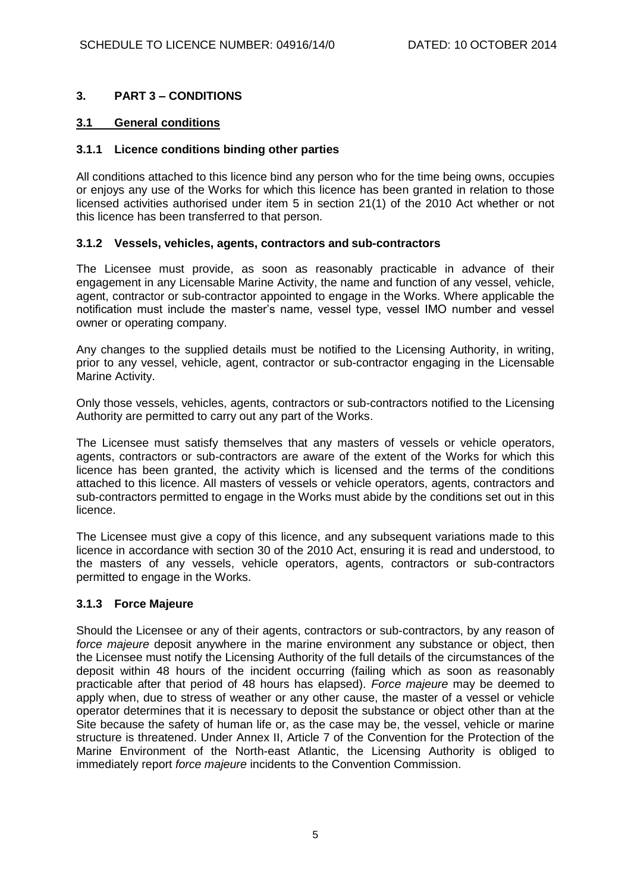## **3. PART 3 – CONDITIONS**

### **3.1 General conditions**

#### **3.1.1 Licence conditions binding other parties**

All conditions attached to this licence bind any person who for the time being owns, occupies or enjoys any use of the Works for which this licence has been granted in relation to those licensed activities authorised under item 5 in section 21(1) of the 2010 Act whether or not this licence has been transferred to that person.

#### **3.1.2 Vessels, vehicles, agents, contractors and sub-contractors**

The Licensee must provide, as soon as reasonably practicable in advance of their engagement in any Licensable Marine Activity, the name and function of any vessel, vehicle, agent, contractor or sub-contractor appointed to engage in the Works. Where applicable the notification must include the master's name, vessel type, vessel IMO number and vessel owner or operating company.

Any changes to the supplied details must be notified to the Licensing Authority, in writing, prior to any vessel, vehicle, agent, contractor or sub-contractor engaging in the Licensable Marine Activity.

Only those vessels, vehicles, agents, contractors or sub-contractors notified to the Licensing Authority are permitted to carry out any part of the Works.

The Licensee must satisfy themselves that any masters of vessels or vehicle operators, agents, contractors or sub-contractors are aware of the extent of the Works for which this licence has been granted, the activity which is licensed and the terms of the conditions attached to this licence. All masters of vessels or vehicle operators, agents, contractors and sub-contractors permitted to engage in the Works must abide by the conditions set out in this licence.

The Licensee must give a copy of this licence, and any subsequent variations made to this licence in accordance with section 30 of the 2010 Act, ensuring it is read and understood, to the masters of any vessels, vehicle operators, agents, contractors or sub-contractors permitted to engage in the Works.

### **3.1.3 Force Majeure**

Should the Licensee or any of their agents, contractors or sub-contractors, by any reason of *force majeure* deposit anywhere in the marine environment any substance or object, then the Licensee must notify the Licensing Authority of the full details of the circumstances of the deposit within 48 hours of the incident occurring (failing which as soon as reasonably practicable after that period of 48 hours has elapsed). *Force majeure* may be deemed to apply when, due to stress of weather or any other cause, the master of a vessel or vehicle operator determines that it is necessary to deposit the substance or object other than at the Site because the safety of human life or, as the case may be, the vessel, vehicle or marine structure is threatened. Under Annex II, Article 7 of the Convention for the Protection of the Marine Environment of the North-east Atlantic, the Licensing Authority is obliged to immediately report *force majeure* incidents to the Convention Commission.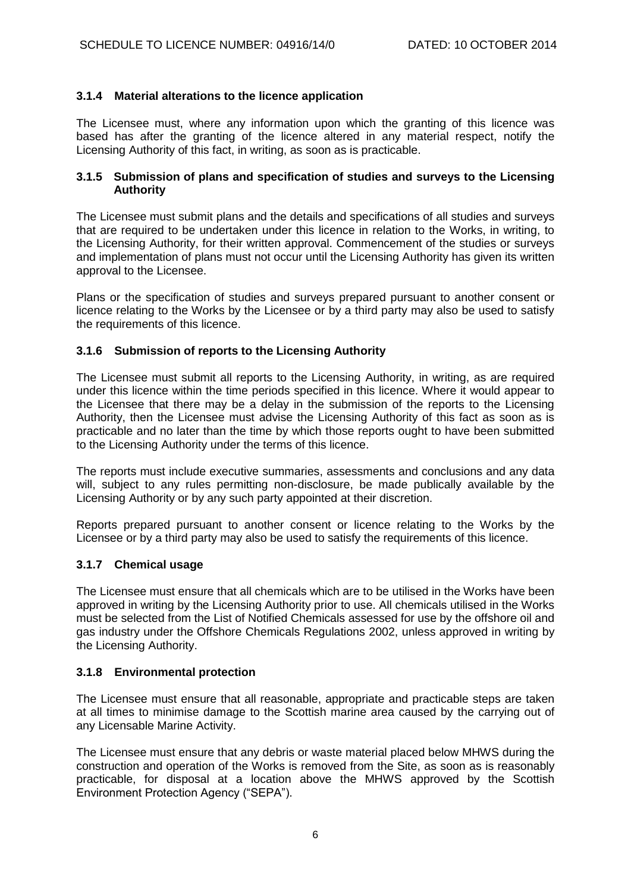## **3.1.4 Material alterations to the licence application**

The Licensee must, where any information upon which the granting of this licence was based has after the granting of the licence altered in any material respect, notify the Licensing Authority of this fact, in writing, as soon as is practicable.

#### **3.1.5 Submission of plans and specification of studies and surveys to the Licensing Authority**

The Licensee must submit plans and the details and specifications of all studies and surveys that are required to be undertaken under this licence in relation to the Works, in writing, to the Licensing Authority, for their written approval. Commencement of the studies or surveys and implementation of plans must not occur until the Licensing Authority has given its written approval to the Licensee.

Plans or the specification of studies and surveys prepared pursuant to another consent or licence relating to the Works by the Licensee or by a third party may also be used to satisfy the requirements of this licence.

## **3.1.6 Submission of reports to the Licensing Authority**

The Licensee must submit all reports to the Licensing Authority, in writing, as are required under this licence within the time periods specified in this licence. Where it would appear to the Licensee that there may be a delay in the submission of the reports to the Licensing Authority, then the Licensee must advise the Licensing Authority of this fact as soon as is practicable and no later than the time by which those reports ought to have been submitted to the Licensing Authority under the terms of this licence.

The reports must include executive summaries, assessments and conclusions and any data will, subject to any rules permitting non-disclosure, be made publically available by the Licensing Authority or by any such party appointed at their discretion.

Reports prepared pursuant to another consent or licence relating to the Works by the Licensee or by a third party may also be used to satisfy the requirements of this licence.

### **3.1.7 Chemical usage**

The Licensee must ensure that all chemicals which are to be utilised in the Works have been approved in writing by the Licensing Authority prior to use. All chemicals utilised in the Works must be selected from the List of Notified Chemicals assessed for use by the offshore oil and gas industry under the Offshore Chemicals Regulations 2002, unless approved in writing by the Licensing Authority.

### **3.1.8 Environmental protection**

The Licensee must ensure that all reasonable, appropriate and practicable steps are taken at all times to minimise damage to the Scottish marine area caused by the carrying out of any Licensable Marine Activity.

The Licensee must ensure that any debris or waste material placed below MHWS during the construction and operation of the Works is removed from the Site, as soon as is reasonably practicable, for disposal at a location above the MHWS approved by the Scottish Environment Protection Agency ("SEPA").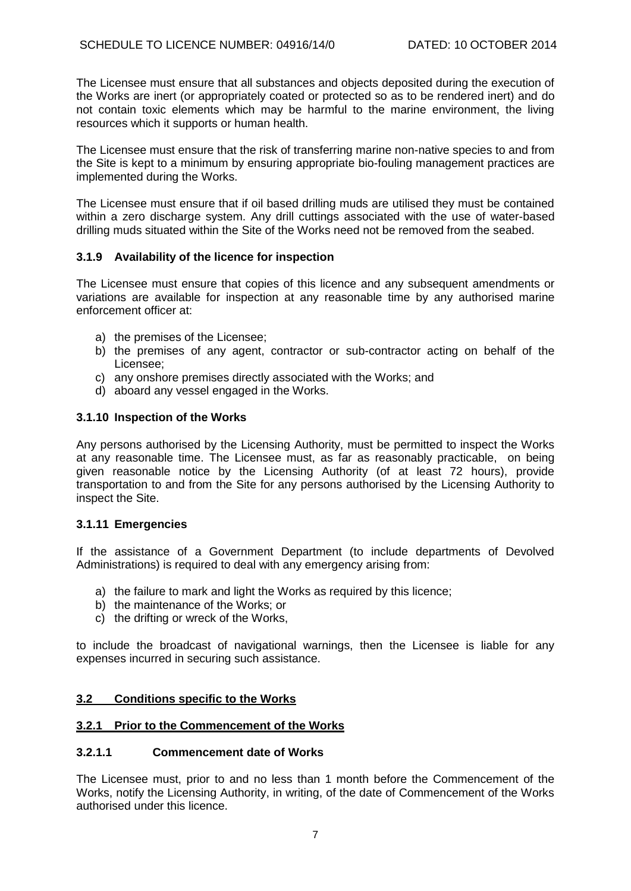The Licensee must ensure that all substances and objects deposited during the execution of the Works are inert (or appropriately coated or protected so as to be rendered inert) and do not contain toxic elements which may be harmful to the marine environment, the living resources which it supports or human health.

The Licensee must ensure that the risk of transferring marine non-native species to and from the Site is kept to a minimum by ensuring appropriate bio-fouling management practices are implemented during the Works.

The Licensee must ensure that if oil based drilling muds are utilised they must be contained within a zero discharge system. Any drill cuttings associated with the use of water-based drilling muds situated within the Site of the Works need not be removed from the seabed.

## **3.1.9 Availability of the licence for inspection**

The Licensee must ensure that copies of this licence and any subsequent amendments or variations are available for inspection at any reasonable time by any authorised marine enforcement officer at:

- a) the premises of the Licensee;
- b) the premises of any agent, contractor or sub-contractor acting on behalf of the Licensee;
- c) any onshore premises directly associated with the Works; and
- d) aboard any vessel engaged in the Works.

#### **3.1.10 Inspection of the Works**

Any persons authorised by the Licensing Authority, must be permitted to inspect the Works at any reasonable time. The Licensee must, as far as reasonably practicable, on being given reasonable notice by the Licensing Authority (of at least 72 hours), provide transportation to and from the Site for any persons authorised by the Licensing Authority to inspect the Site.

#### **3.1.11 Emergencies**

If the assistance of a Government Department (to include departments of Devolved Administrations) is required to deal with any emergency arising from:

- a) the failure to mark and light the Works as required by this licence;
- b) the maintenance of the Works; or
- c) the drifting or wreck of the Works,

to include the broadcast of navigational warnings, then the Licensee is liable for any expenses incurred in securing such assistance.

### **3.2 Conditions specific to the Works**

### **3.2.1 Prior to the Commencement of the Works**

### **3.2.1.1 Commencement date of Works**

The Licensee must, prior to and no less than 1 month before the Commencement of the Works, notify the Licensing Authority, in writing, of the date of Commencement of the Works authorised under this licence.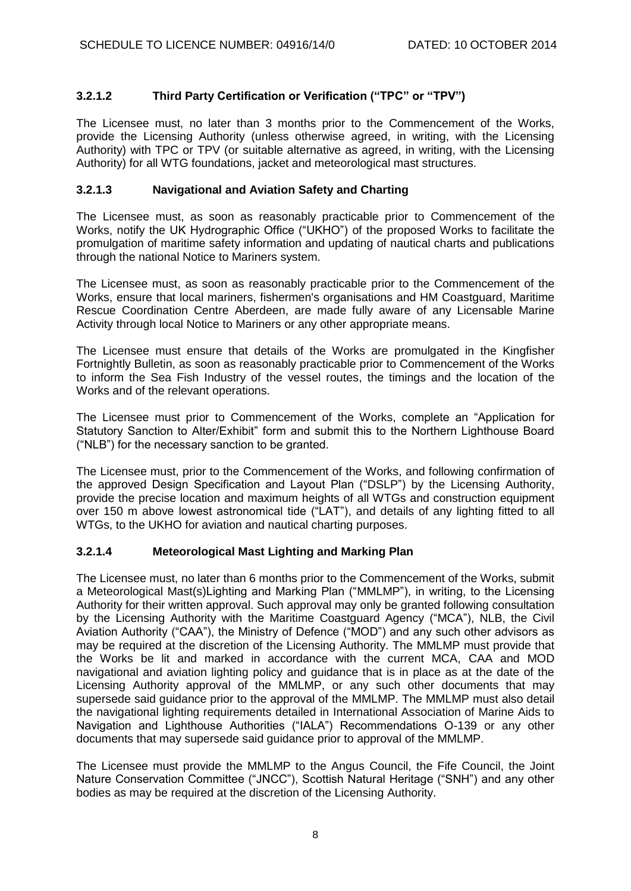# **3.2.1.2 Third Party Certification or Verification ("TPC" or "TPV")**

The Licensee must, no later than 3 months prior to the Commencement of the Works, provide the Licensing Authority (unless otherwise agreed, in writing, with the Licensing Authority) with TPC or TPV (or suitable alternative as agreed, in writing, with the Licensing Authority) for all WTG foundations, jacket and meteorological mast structures.

### **3.2.1.3 Navigational and Aviation Safety and Charting**

The Licensee must, as soon as reasonably practicable prior to Commencement of the Works, notify the UK Hydrographic Office ("UKHO") of the proposed Works to facilitate the promulgation of maritime safety information and updating of nautical charts and publications through the national Notice to Mariners system.

The Licensee must, as soon as reasonably practicable prior to the Commencement of the Works, ensure that local mariners, fishermen's organisations and HM Coastguard, Maritime Rescue Coordination Centre Aberdeen, are made fully aware of any Licensable Marine Activity through local Notice to Mariners or any other appropriate means.

The Licensee must ensure that details of the Works are promulgated in the Kingfisher Fortnightly Bulletin, as soon as reasonably practicable prior to Commencement of the Works to inform the Sea Fish Industry of the vessel routes, the timings and the location of the Works and of the relevant operations.

The Licensee must prior to Commencement of the Works, complete an "Application for Statutory Sanction to Alter/Exhibit" form and submit this to the Northern Lighthouse Board ("NLB") for the necessary sanction to be granted.

The Licensee must, prior to the Commencement of the Works, and following confirmation of the approved Design Specification and Layout Plan ("DSLP") by the Licensing Authority, provide the precise location and maximum heights of all WTGs and construction equipment over 150 m above lowest astronomical tide ("LAT"), and details of any lighting fitted to all WTGs, to the UKHO for aviation and nautical charting purposes.

### **3.2.1.4 Meteorological Mast Lighting and Marking Plan**

The Licensee must, no later than 6 months prior to the Commencement of the Works, submit a Meteorological Mast(s)Lighting and Marking Plan ("MMLMP"), in writing, to the Licensing Authority for their written approval. Such approval may only be granted following consultation by the Licensing Authority with the Maritime Coastguard Agency ("MCA"), NLB, the Civil Aviation Authority ("CAA"), the Ministry of Defence ("MOD") and any such other advisors as may be required at the discretion of the Licensing Authority. The MMLMP must provide that the Works be lit and marked in accordance with the current MCA, CAA and MOD navigational and aviation lighting policy and guidance that is in place as at the date of the Licensing Authority approval of the MMLMP, or any such other documents that may supersede said guidance prior to the approval of the MMLMP. The MMLMP must also detail the navigational lighting requirements detailed in International Association of Marine Aids to Navigation and Lighthouse Authorities ("IALA") Recommendations O-139 or any other documents that may supersede said guidance prior to approval of the MMLMP.

The Licensee must provide the MMLMP to the Angus Council, the Fife Council, the Joint Nature Conservation Committee ("JNCC"), Scottish Natural Heritage ("SNH") and any other bodies as may be required at the discretion of the Licensing Authority.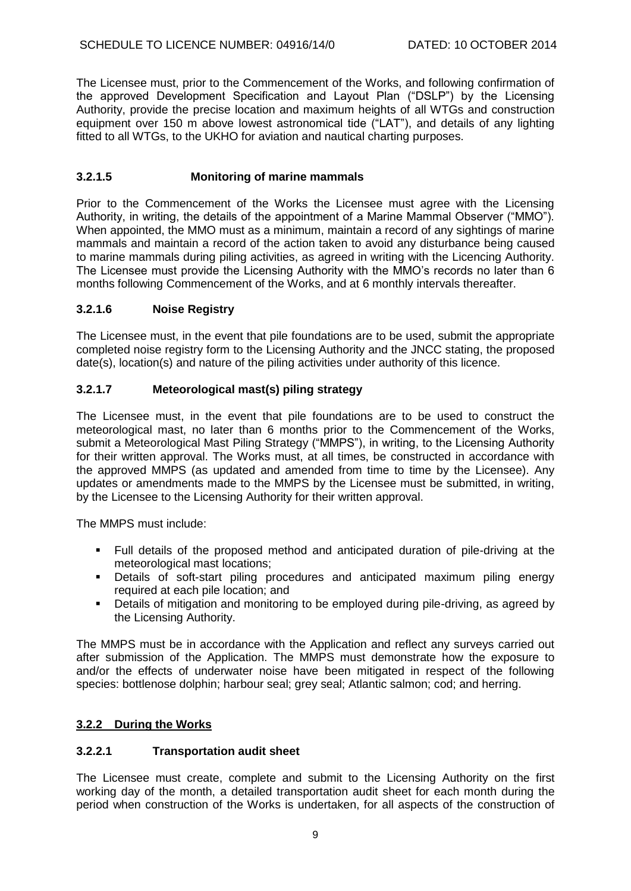The Licensee must, prior to the Commencement of the Works, and following confirmation of the approved Development Specification and Layout Plan ("DSLP") by the Licensing Authority, provide the precise location and maximum heights of all WTGs and construction equipment over 150 m above lowest astronomical tide ("LAT"), and details of any lighting fitted to all WTGs, to the UKHO for aviation and nautical charting purposes.

## **3.2.1.5 Monitoring of marine mammals**

Prior to the Commencement of the Works the Licensee must agree with the Licensing Authority, in writing, the details of the appointment of a Marine Mammal Observer ("MMO"). When appointed, the MMO must as a minimum, maintain a record of any sightings of marine mammals and maintain a record of the action taken to avoid any disturbance being caused to marine mammals during piling activities, as agreed in writing with the Licencing Authority. The Licensee must provide the Licensing Authority with the MMO's records no later than 6 months following Commencement of the Works, and at 6 monthly intervals thereafter.

### **3.2.1.6 Noise Registry**

The Licensee must, in the event that pile foundations are to be used, submit the appropriate completed noise registry form to the Licensing Authority and the JNCC stating, the proposed date(s), location(s) and nature of the piling activities under authority of this licence.

## **3.2.1.7 Meteorological mast(s) piling strategy**

The Licensee must, in the event that pile foundations are to be used to construct the meteorological mast, no later than 6 months prior to the Commencement of the Works, submit a Meteorological Mast Piling Strategy ("MMPS"), in writing, to the Licensing Authority for their written approval. The Works must, at all times, be constructed in accordance with the approved MMPS (as updated and amended from time to time by the Licensee). Any updates or amendments made to the MMPS by the Licensee must be submitted, in writing, by the Licensee to the Licensing Authority for their written approval.

The MMPS must include:

- Full details of the proposed method and anticipated duration of pile-driving at the meteorological mast locations;
- Details of soft-start piling procedures and anticipated maximum piling energy required at each pile location; and
- **•** Details of mitigation and monitoring to be employed during pile-driving, as agreed by the Licensing Authority.

The MMPS must be in accordance with the Application and reflect any surveys carried out after submission of the Application. The MMPS must demonstrate how the exposure to and/or the effects of underwater noise have been mitigated in respect of the following species: bottlenose dolphin; harbour seal; grey seal; Atlantic salmon; cod; and herring.

### **3.2.2 During the Works**

### **3.2.2.1 Transportation audit sheet**

The Licensee must create, complete and submit to the Licensing Authority on the first working day of the month, a detailed transportation audit sheet for each month during the period when construction of the Works is undertaken, for all aspects of the construction of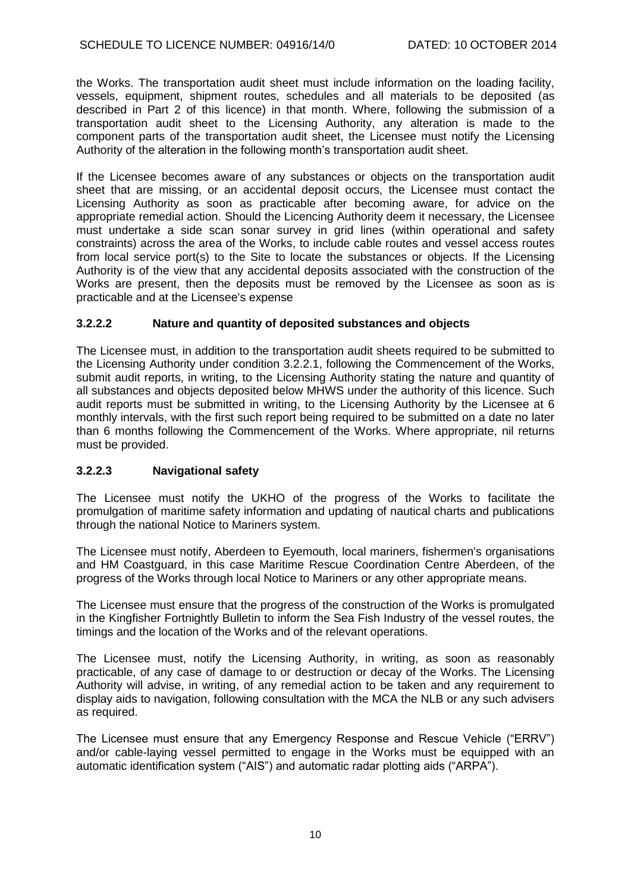the Works. The transportation audit sheet must include information on the loading facility, vessels, equipment, shipment routes, schedules and all materials to be deposited (as described in Part 2 of this licence) in that month. Where, following the submission of a transportation audit sheet to the Licensing Authority, any alteration is made to the component parts of the transportation audit sheet, the Licensee must notify the Licensing Authority of the alteration in the following month's transportation audit sheet.

If the Licensee becomes aware of any substances or objects on the transportation audit sheet that are missing, or an accidental deposit occurs, the Licensee must contact the Licensing Authority as soon as practicable after becoming aware, for advice on the appropriate remedial action. Should the Licencing Authority deem it necessary, the Licensee must undertake a side scan sonar survey in grid lines (within operational and safety constraints) across the area of the Works, to include cable routes and vessel access routes from local service port(s) to the Site to locate the substances or objects. If the Licensing Authority is of the view that any accidental deposits associated with the construction of the Works are present, then the deposits must be removed by the Licensee as soon as is practicable and at the Licensee's expense

## **3.2.2.2 Nature and quantity of deposited substances and objects**

The Licensee must, in addition to the transportation audit sheets required to be submitted to the Licensing Authority under condition 3.2.2.1, following the Commencement of the Works, submit audit reports, in writing, to the Licensing Authority stating the nature and quantity of all substances and objects deposited below MHWS under the authority of this licence. Such audit reports must be submitted in writing, to the Licensing Authority by the Licensee at 6 monthly intervals, with the first such report being required to be submitted on a date no later than 6 months following the Commencement of the Works. Where appropriate, nil returns must be provided.

### **3.2.2.3 Navigational safety**

The Licensee must notify the UKHO of the progress of the Works to facilitate the promulgation of maritime safety information and updating of nautical charts and publications through the national Notice to Mariners system.

The Licensee must notify, Aberdeen to Eyemouth, local mariners, fishermen's organisations and HM Coastguard, in this case Maritime Rescue Coordination Centre Aberdeen, of the progress of the Works through local Notice to Mariners or any other appropriate means.

The Licensee must ensure that the progress of the construction of the Works is promulgated in the Kingfisher Fortnightly Bulletin to inform the Sea Fish Industry of the vessel routes, the timings and the location of the Works and of the relevant operations.

The Licensee must, notify the Licensing Authority, in writing, as soon as reasonably practicable, of any case of damage to or destruction or decay of the Works. The Licensing Authority will advise, in writing, of any remedial action to be taken and any requirement to display aids to navigation, following consultation with the MCA the NLB or any such advisers as required.

The Licensee must ensure that any Emergency Response and Rescue Vehicle ("ERRV") and/or cable-laying vessel permitted to engage in the Works must be equipped with an automatic identification system ("AIS") and automatic radar plotting aids ("ARPA").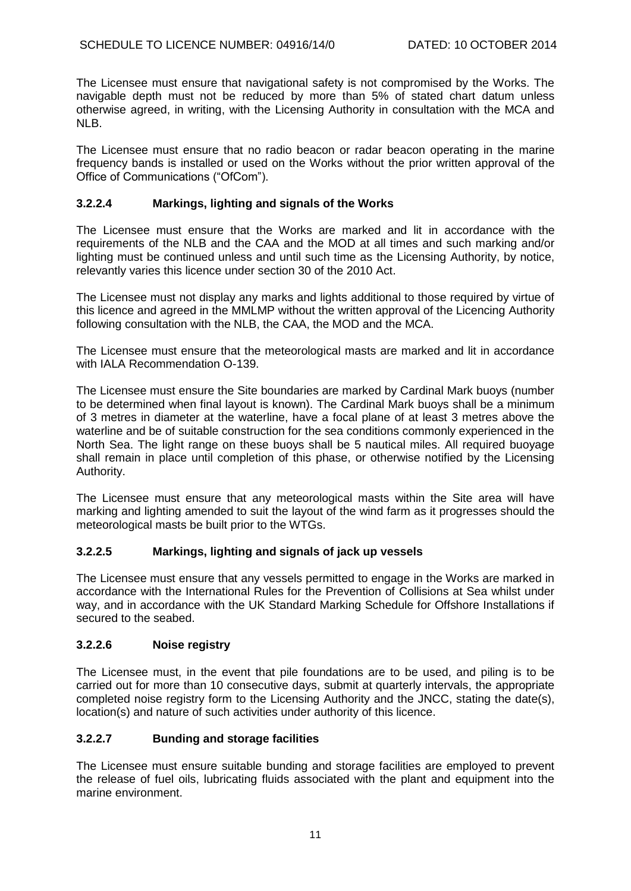The Licensee must ensure that navigational safety is not compromised by the Works. The navigable depth must not be reduced by more than 5% of stated chart datum unless otherwise agreed, in writing, with the Licensing Authority in consultation with the MCA and NLB.

The Licensee must ensure that no radio beacon or radar beacon operating in the marine frequency bands is installed or used on the Works without the prior written approval of the Office of Communications ("OfCom").

## **3.2.2.4 Markings, lighting and signals of the Works**

The Licensee must ensure that the Works are marked and lit in accordance with the requirements of the NLB and the CAA and the MOD at all times and such marking and/or lighting must be continued unless and until such time as the Licensing Authority, by notice, relevantly varies this licence under section 30 of the 2010 Act.

The Licensee must not display any marks and lights additional to those required by virtue of this licence and agreed in the MMLMP without the written approval of the Licencing Authority following consultation with the NLB, the CAA, the MOD and the MCA.

The Licensee must ensure that the meteorological masts are marked and lit in accordance with IALA Recommendation O-139.

The Licensee must ensure the Site boundaries are marked by Cardinal Mark buoys (number to be determined when final layout is known). The Cardinal Mark buoys shall be a minimum of 3 metres in diameter at the waterline, have a focal plane of at least 3 metres above the waterline and be of suitable construction for the sea conditions commonly experienced in the North Sea. The light range on these buoys shall be 5 nautical miles. All required buoyage shall remain in place until completion of this phase, or otherwise notified by the Licensing Authority.

The Licensee must ensure that any meteorological masts within the Site area will have marking and lighting amended to suit the layout of the wind farm as it progresses should the meteorological masts be built prior to the WTGs.

### **3.2.2.5 Markings, lighting and signals of jack up vessels**

The Licensee must ensure that any vessels permitted to engage in the Works are marked in accordance with the International Rules for the Prevention of Collisions at Sea whilst under way, and in accordance with the UK Standard Marking Schedule for Offshore Installations if secured to the seabed.

### **3.2.2.6 Noise registry**

The Licensee must, in the event that pile foundations are to be used, and piling is to be carried out for more than 10 consecutive days, submit at quarterly intervals, the appropriate completed noise registry form to the Licensing Authority and the JNCC, stating the date(s), location(s) and nature of such activities under authority of this licence.

### **3.2.2.7 Bunding and storage facilities**

The Licensee must ensure suitable bunding and storage facilities are employed to prevent the release of fuel oils, lubricating fluids associated with the plant and equipment into the marine environment.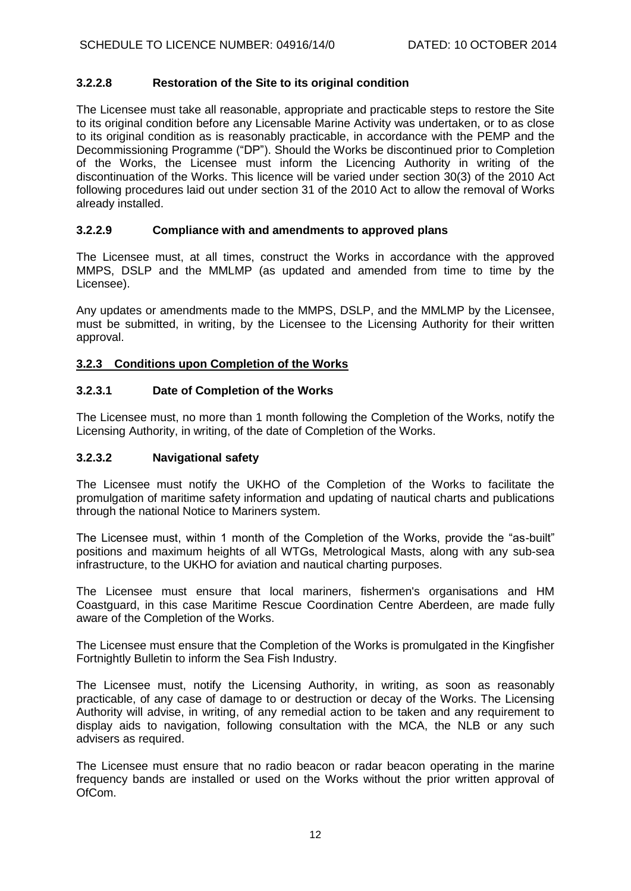### **3.2.2.8 Restoration of the Site to its original condition**

The Licensee must take all reasonable, appropriate and practicable steps to restore the Site to its original condition before any Licensable Marine Activity was undertaken, or to as close to its original condition as is reasonably practicable, in accordance with the PEMP and the Decommissioning Programme ("DP"). Should the Works be discontinued prior to Completion of the Works, the Licensee must inform the Licencing Authority in writing of the discontinuation of the Works. This licence will be varied under section 30(3) of the 2010 Act following procedures laid out under section 31 of the 2010 Act to allow the removal of Works already installed.

### **3.2.2.9 Compliance with and amendments to approved plans**

The Licensee must, at all times, construct the Works in accordance with the approved MMPS, DSLP and the MMLMP (as updated and amended from time to time by the Licensee).

Any updates or amendments made to the MMPS, DSLP, and the MMLMP by the Licensee, must be submitted, in writing, by the Licensee to the Licensing Authority for their written approval.

### **3.2.3 Conditions upon Completion of the Works**

## **3.2.3.1 Date of Completion of the Works**

The Licensee must, no more than 1 month following the Completion of the Works, notify the Licensing Authority, in writing, of the date of Completion of the Works.

### **3.2.3.2 Navigational safety**

The Licensee must notify the UKHO of the Completion of the Works to facilitate the promulgation of maritime safety information and updating of nautical charts and publications through the national Notice to Mariners system.

The Licensee must, within 1 month of the Completion of the Works, provide the "as-built" positions and maximum heights of all WTGs, Metrological Masts, along with any sub-sea infrastructure, to the UKHO for aviation and nautical charting purposes.

The Licensee must ensure that local mariners, fishermen's organisations and HM Coastguard, in this case Maritime Rescue Coordination Centre Aberdeen, are made fully aware of the Completion of the Works.

The Licensee must ensure that the Completion of the Works is promulgated in the Kingfisher Fortnightly Bulletin to inform the Sea Fish Industry.

The Licensee must, notify the Licensing Authority, in writing, as soon as reasonably practicable, of any case of damage to or destruction or decay of the Works. The Licensing Authority will advise, in writing, of any remedial action to be taken and any requirement to display aids to navigation, following consultation with the MCA, the NLB or any such advisers as required.

The Licensee must ensure that no radio beacon or radar beacon operating in the marine frequency bands are installed or used on the Works without the prior written approval of OfCom.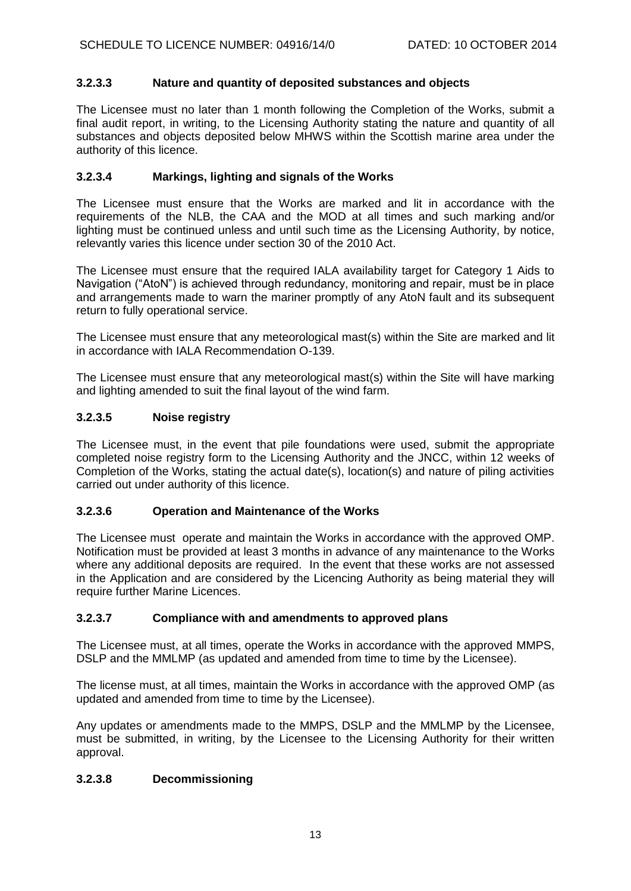### **3.2.3.3 Nature and quantity of deposited substances and objects**

The Licensee must no later than 1 month following the Completion of the Works, submit a final audit report, in writing, to the Licensing Authority stating the nature and quantity of all substances and objects deposited below MHWS within the Scottish marine area under the authority of this licence.

### **3.2.3.4 Markings, lighting and signals of the Works**

The Licensee must ensure that the Works are marked and lit in accordance with the requirements of the NLB, the CAA and the MOD at all times and such marking and/or lighting must be continued unless and until such time as the Licensing Authority, by notice, relevantly varies this licence under section 30 of the 2010 Act.

The Licensee must ensure that the required IALA availability target for Category 1 Aids to Navigation ("AtoN") is achieved through redundancy, monitoring and repair, must be in place and arrangements made to warn the mariner promptly of any AtoN fault and its subsequent return to fully operational service.

The Licensee must ensure that any meteorological mast(s) within the Site are marked and lit in accordance with IALA Recommendation O-139.

The Licensee must ensure that any meteorological mast(s) within the Site will have marking and lighting amended to suit the final layout of the wind farm.

### **3.2.3.5 Noise registry**

The Licensee must, in the event that pile foundations were used, submit the appropriate completed noise registry form to the Licensing Authority and the JNCC, within 12 weeks of Completion of the Works, stating the actual date(s), location(s) and nature of piling activities carried out under authority of this licence.

### **3.2.3.6 Operation and Maintenance of the Works**

The Licensee must operate and maintain the Works in accordance with the approved OMP. Notification must be provided at least 3 months in advance of any maintenance to the Works where any additional deposits are required. In the event that these works are not assessed in the Application and are considered by the Licencing Authority as being material they will require further Marine Licences.

### **3.2.3.7 Compliance with and amendments to approved plans**

The Licensee must, at all times, operate the Works in accordance with the approved MMPS, DSLP and the MMLMP (as updated and amended from time to time by the Licensee).

The license must, at all times, maintain the Works in accordance with the approved OMP (as updated and amended from time to time by the Licensee).

Any updates or amendments made to the MMPS, DSLP and the MMLMP by the Licensee, must be submitted, in writing, by the Licensee to the Licensing Authority for their written approval.

### **3.2.3.8 Decommissioning**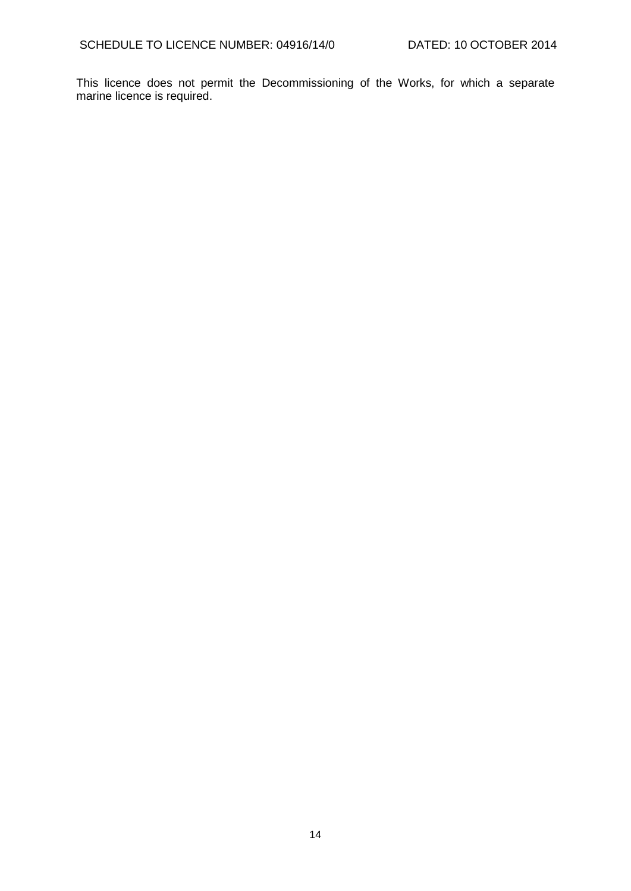This licence does not permit the Decommissioning of the Works, for which a separate marine licence is required.